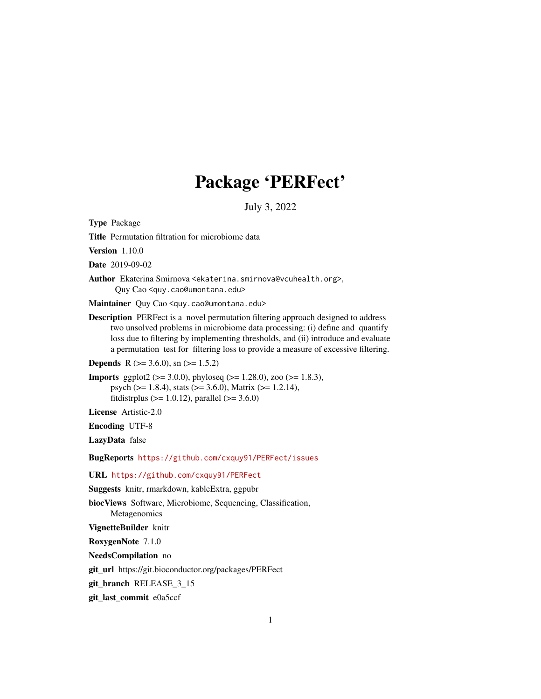## Package 'PERFect'

July 3, 2022

Type Package

Title Permutation filtration for microbiome data

Version 1.10.0

Date 2019-09-02

Author Ekaterina Smirnova <ekaterina.smirnova@vcuhealth.org>, Quy Cao <quy.cao@umontana.edu>

Maintainer Quy Cao <quy.cao@umontana.edu>

Description PERFect is a novel permutation filtering approach designed to address two unsolved problems in microbiome data processing: (i) define and quantify loss due to filtering by implementing thresholds, and (ii) introduce and evaluate a permutation test for filtering loss to provide a measure of excessive filtering.

**Depends** R ( $>= 3.6.0$ ), sn ( $>= 1.5.2$ )

**Imports** ggplot2 ( $> = 3.0.0$ ), phyloseq ( $> = 1.28.0$ ), zoo ( $> = 1.8.3$ ), psych (>= 1.8.4), stats (>= 3.6.0), Matrix (>= 1.2.14), fitdistrplus ( $> = 1.0.12$ ), parallel ( $>= 3.6.0$ )

License Artistic-2.0

Encoding UTF-8

LazyData false

BugReports <https://github.com/cxquy91/PERFect/issues>

URL <https://github.com/cxquy91/PERFect>

Suggests knitr, rmarkdown, kableExtra, ggpubr

biocViews Software, Microbiome, Sequencing, Classification,

Metagenomics

VignetteBuilder knitr

RoxygenNote 7.1.0

NeedsCompilation no

git\_url https://git.bioconductor.org/packages/PERFect

git\_branch RELEASE\_3\_15

git\_last\_commit e0a5ccf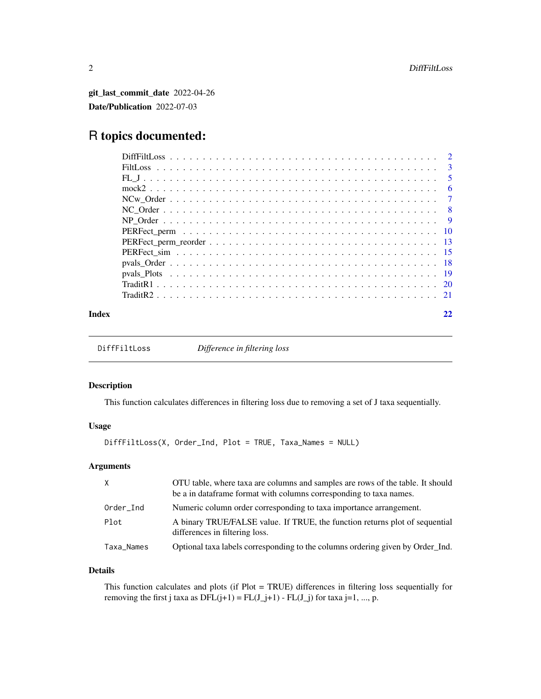<span id="page-1-0"></span>git\_last\_commit\_date 2022-04-26 Date/Publication 2022-07-03

### R topics documented:

| Index |  |
|-------|--|

```
DiffFiltLoss Difference in filtering loss
```
#### Description

This function calculates differences in filtering loss due to removing a set of J taxa sequentially.

#### Usage

```
DiffFiltLoss(X, Order_Ind, Plot = TRUE, Taxa_Names = NULL)
```
#### Arguments

| $\times$   | OTU table, where taxa are columns and samples are rows of the table. It should<br>be a in dataframe format with columns corresponding to taxa names. |
|------------|------------------------------------------------------------------------------------------------------------------------------------------------------|
| Order_Ind  | Numeric column order corresponding to taxa importance arrangement.                                                                                   |
| Plot       | A binary TRUE/FALSE value. If TRUE, the function returns plot of sequential<br>differences in filtering loss.                                        |
| Taxa_Names | Optional taxa labels corresponding to the columns ordering given by Order Ind.                                                                       |

#### Details

This function calculates and plots (if Plot = TRUE) differences in filtering loss sequentially for removing the first j taxa as  $DFL(j+1) = FL(J_j+1) - FL(J_j)$  for taxa j=1, ..., p.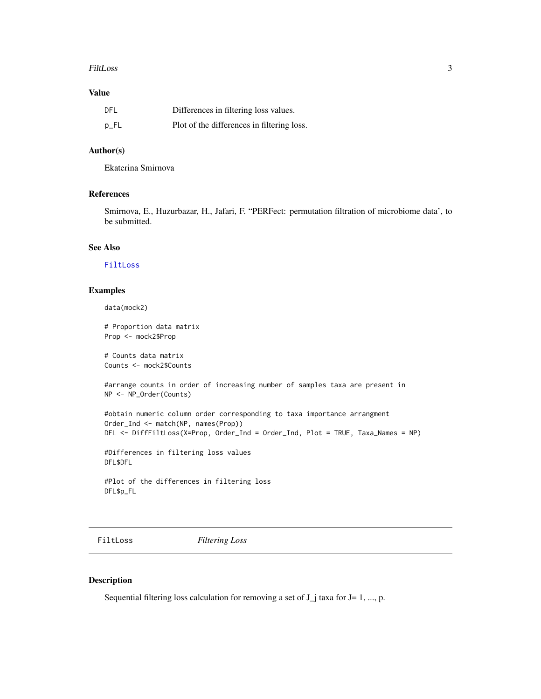#### <span id="page-2-0"></span>FiltLoss 3

#### Value

| DFL    | Differences in filtering loss values.      |
|--------|--------------------------------------------|
| $p$ FL | Plot of the differences in filtering loss. |

#### Author(s)

Ekaterina Smirnova

#### References

Smirnova, E., Huzurbazar, H., Jafari, F. "PERFect: permutation filtration of microbiome data', to be submitted.

#### See Also

[FiltLoss](#page-2-1)

#### Examples

data(mock2)

# Proportion data matrix Prop <- mock2\$Prop

# Counts data matrix Counts <- mock2\$Counts

#arrange counts in order of increasing number of samples taxa are present in NP <- NP\_Order(Counts)

```
#obtain numeric column order corresponding to taxa importance arrangment
Order_Ind <- match(NP, names(Prop))
DFL <- DiffFiltLoss(X=Prop, Order_Ind = Order_Ind, Plot = TRUE, Taxa_Names = NP)
```
#Differences in filtering loss values DFL\$DFL

#Plot of the differences in filtering loss DFL\$p\_FL

<span id="page-2-1"></span>FiltLoss *Filtering Loss*

#### Description

Sequential filtering loss calculation for removing a set of  $J_i$  taxa for  $J=1, ..., p$ .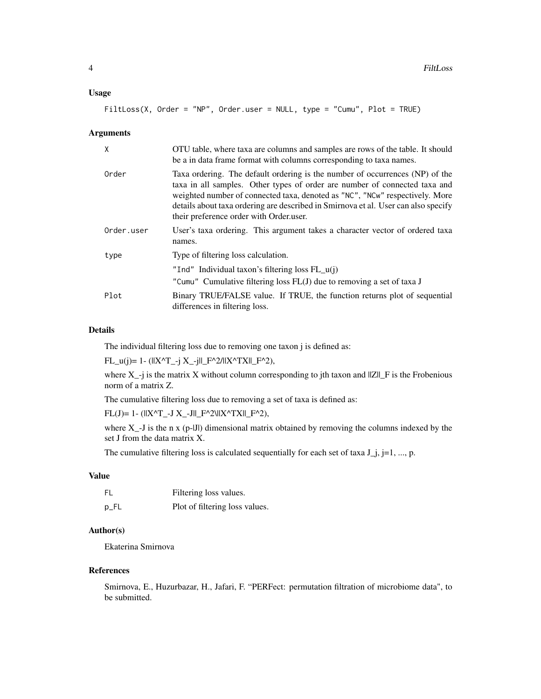#### Usage

FiltLoss(X, Order = "NP", Order.user = NULL, type = "Cumu", Plot = TRUE)

#### Arguments

| X          | OTU table, where taxa are columns and samples are rows of the table. It should<br>be a in data frame format with columns corresponding to taxa names.                                                                                                                                                                                                                       |
|------------|-----------------------------------------------------------------------------------------------------------------------------------------------------------------------------------------------------------------------------------------------------------------------------------------------------------------------------------------------------------------------------|
| Order      | Taxa ordering. The default ordering is the number of occurrences (NP) of the<br>taxa in all samples. Other types of order are number of connected taxa and<br>weighted number of connected taxa, denoted as "NC", "NCw" respectively. More<br>details about taxa ordering are described in Smirnova et al. User can also specify<br>their preference order with Order user. |
| Order.user | User's taxa ordering. This argument takes a character vector of ordered taxa<br>names.                                                                                                                                                                                                                                                                                      |
| type       | Type of filtering loss calculation.                                                                                                                                                                                                                                                                                                                                         |
|            | "Ind" Individual taxon's filtering loss $FL_u(i)$                                                                                                                                                                                                                                                                                                                           |
|            | "Cumu" Cumulative filtering loss FL(J) due to removing a set of taxa J                                                                                                                                                                                                                                                                                                      |
| Plot       | Binary TRUE/FALSE value. If TRUE, the function returns plot of sequential<br>differences in filtering loss.                                                                                                                                                                                                                                                                 |

#### Details

The individual filtering loss due to removing one taxon j is defined as:

 $FL_u(j)= 1 - (||X^T_{j-1}X_{j-1}||F^2_{j}||X^T_{j}X||F^2_{j}),$ 

where  $X_{-j}$  is the matrix X without column corresponding to jth taxon and  $||Z||_F$  is the Frobenious norm of a matrix Z.

The cumulative filtering loss due to removing a set of taxa is defined as:

 $FL(J)= 1- (||X^{\wedge}T_{-}J X_{-}J||_{-}F^{\wedge}2\|X^{\wedge}TX||_{-}F^{\wedge}2),$ 

where  $X_{-}J$  is the n x (p- $JI$ ) dimensional matrix obtained by removing the columns indexed by the set J from the data matrix X.

The cumulative filtering loss is calculated sequentially for each set of taxa  $J_j$ ,  $j=1, ..., p$ .

#### Value

| FL   | Filtering loss values.         |
|------|--------------------------------|
| p_FL | Plot of filtering loss values. |

#### Author(s)

Ekaterina Smirnova

#### References

Smirnova, E., Huzurbazar, H., Jafari, F. "PERFect: permutation filtration of microbiome data", to be submitted.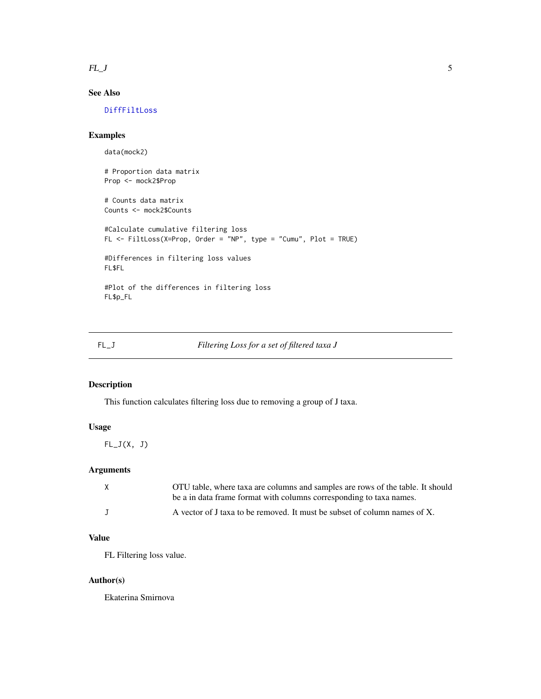<span id="page-4-0"></span> $FL_J$  5

#### See Also

[DiffFiltLoss](#page-1-1)

#### Examples

data(mock2)

# Proportion data matrix Prop <- mock2\$Prop

# Counts data matrix Counts <- mock2\$Counts

```
#Calculate cumulative filtering loss
FL <- FiltLoss(X=Prop, Order = "NP", type = "Cumu", Plot = TRUE)
#Differences in filtering loss values
FL$FL
#Plot of the differences in filtering loss
```
FL\$p\_FL

#### FL\_J *Filtering Loss for a set of filtered taxa J*

#### Description

This function calculates filtering loss due to removing a group of J taxa.

#### Usage

 $FL_J(X, J)$ 

#### Arguments

| X | OTU table, where taxa are columns and samples are rows of the table. It should |
|---|--------------------------------------------------------------------------------|
|   | be a in data frame format with columns corresponding to taxa names.            |
|   | A vector of J taxa to be removed. It must be subset of column names of X.      |

#### Value

FL Filtering loss value.

#### Author(s)

Ekaterina Smirnova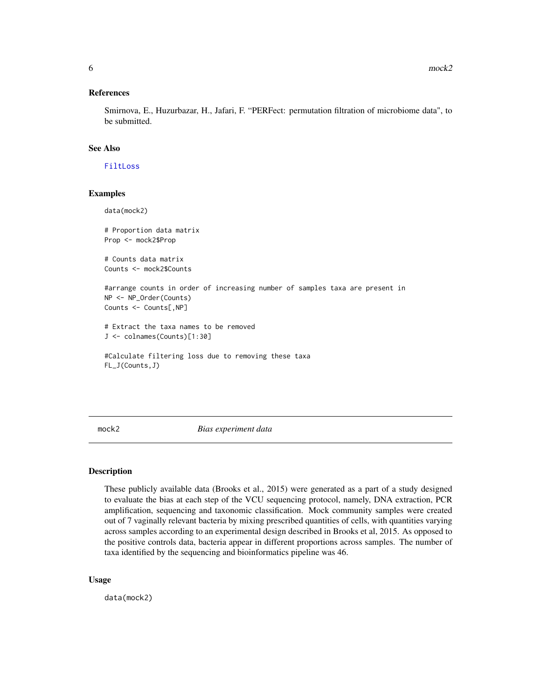#### <span id="page-5-0"></span>References

Smirnova, E., Huzurbazar, H., Jafari, F. "PERFect: permutation filtration of microbiome data", to be submitted.

#### See Also

[FiltLoss](#page-2-1)

#### Examples

```
data(mock2)
# Proportion data matrix
Prop <- mock2$Prop
# Counts data matrix
Counts <- mock2$Counts
#arrange counts in order of increasing number of samples taxa are present in
NP <- NP_Order(Counts)
Counts <- Counts[,NP]
# Extract the taxa names to be removed
J <- colnames(Counts)[1:30]
#Calculate filtering loss due to removing these taxa
```

```
FL_J(Counts,J)
```
mock2 *Bias experiment data*

#### Description

These publicly available data (Brooks et al., 2015) were generated as a part of a study designed to evaluate the bias at each step of the VCU sequencing protocol, namely, DNA extraction, PCR amplification, sequencing and taxonomic classification. Mock community samples were created out of 7 vaginally relevant bacteria by mixing prescribed quantities of cells, with quantities varying across samples according to an experimental design described in Brooks et al, 2015. As opposed to the positive controls data, bacteria appear in different proportions across samples. The number of taxa identified by the sequencing and bioinformatics pipeline was 46.

#### Usage

data(mock2)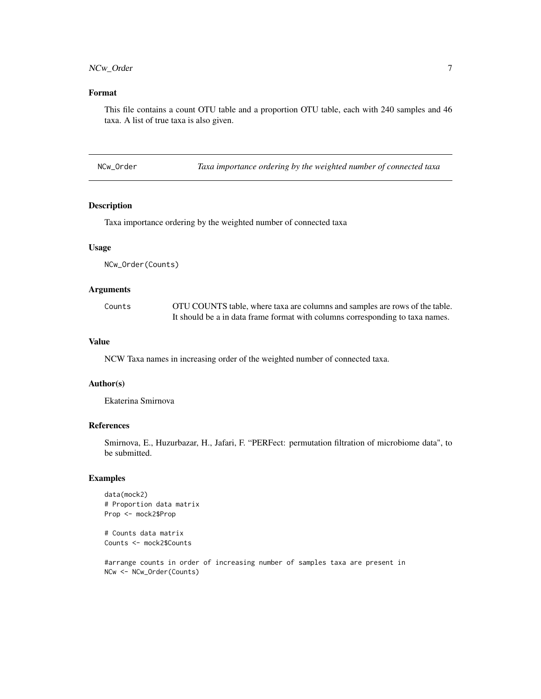#### <span id="page-6-0"></span>NCw\_Order 7

#### Format

This file contains a count OTU table and a proportion OTU table, each with 240 samples and 46 taxa. A list of true taxa is also given.

| NCw_Order |  | Taxa importance ordering by the weighted number of connected taxa |
|-----------|--|-------------------------------------------------------------------|
|           |  |                                                                   |

#### Description

Taxa importance ordering by the weighted number of connected taxa

#### Usage

NCw\_Order(Counts)

#### Arguments

| Counts | OTU COUNTS table, where taxa are columns and samples are rows of the table.   |
|--------|-------------------------------------------------------------------------------|
|        | It should be a in data frame format with columns corresponding to taxa names. |

#### Value

NCW Taxa names in increasing order of the weighted number of connected taxa.

#### Author(s)

Ekaterina Smirnova

#### References

Smirnova, E., Huzurbazar, H., Jafari, F. "PERFect: permutation filtration of microbiome data", to be submitted.

#### Examples

```
data(mock2)
# Proportion data matrix
Prop <- mock2$Prop
```
# Counts data matrix Counts <- mock2\$Counts

#arrange counts in order of increasing number of samples taxa are present in NCw <- NCw\_Order(Counts)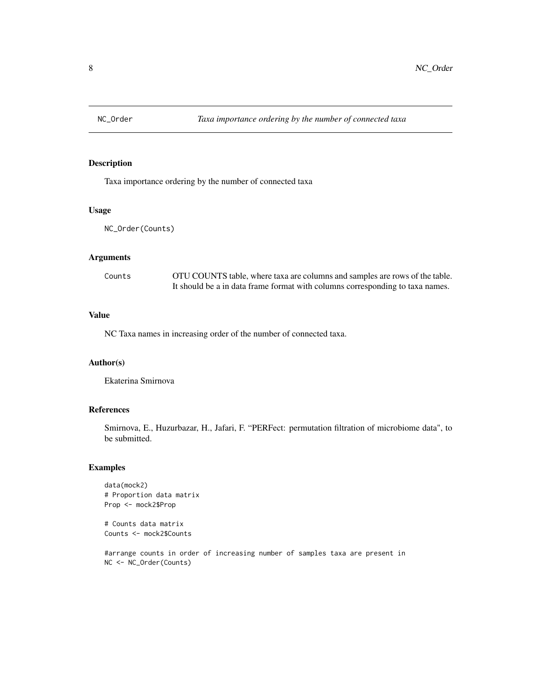<span id="page-7-0"></span>

Taxa importance ordering by the number of connected taxa

#### Usage

```
NC_Order(Counts)
```
#### Arguments

| Counts | OTU COUNTS table, where taxa are columns and samples are rows of the table.   |
|--------|-------------------------------------------------------------------------------|
|        | It should be a in data frame format with columns corresponding to taxa names. |

#### Value

NC Taxa names in increasing order of the number of connected taxa.

#### Author(s)

Ekaterina Smirnova

#### References

Smirnova, E., Huzurbazar, H., Jafari, F. "PERFect: permutation filtration of microbiome data", to be submitted.

#### Examples

```
data(mock2)
# Proportion data matrix
Prop <- mock2$Prop
```
# Counts data matrix Counts <- mock2\$Counts

#arrange counts in order of increasing number of samples taxa are present in NC <- NC\_Order(Counts)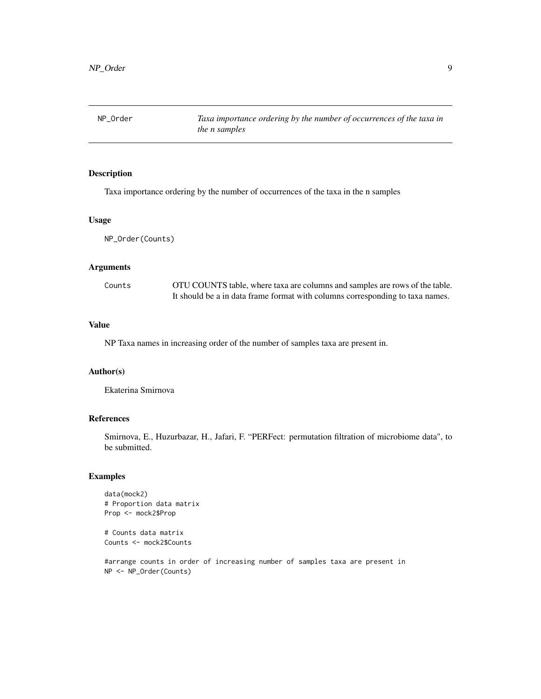<span id="page-8-0"></span>NP\_Order *Taxa importance ordering by the number of occurrences of the taxa in the n samples*

#### Description

Taxa importance ordering by the number of occurrences of the taxa in the n samples

#### Usage

NP\_Order(Counts)

#### Arguments

| Counts | OTU COUNTS table, where taxa are columns and samples are rows of the table.   |
|--------|-------------------------------------------------------------------------------|
|        | It should be a in data frame format with columns corresponding to taxa names. |

#### Value

NP Taxa names in increasing order of the number of samples taxa are present in.

#### Author(s)

Ekaterina Smirnova

#### References

Smirnova, E., Huzurbazar, H., Jafari, F. "PERFect: permutation filtration of microbiome data", to be submitted.

#### Examples

```
data(mock2)
# Proportion data matrix
Prop <- mock2$Prop
```
# Counts data matrix Counts <- mock2\$Counts

#arrange counts in order of increasing number of samples taxa are present in NP <- NP\_Order(Counts)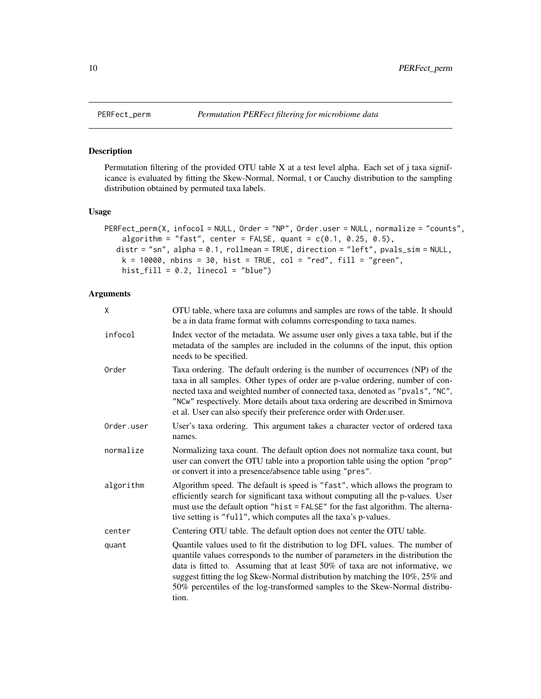Permutation filtering of the provided OTU table X at a test level alpha. Each set of j taxa significance is evaluated by fitting the Skew-Normal, Normal, t or Cauchy distribution to the sampling distribution obtained by permuted taxa labels.

#### Usage

```
PERFect_perm(X, infocol = NULL, Order = "NP", Order.user = NULL, normalize = "counts",
    algorithm = "fast", center = FALSE, quant = c(0.1, 0.25, 0.5),
  distr = "sn", alpha = 0.1, rollmean = TRUE, direction = "left", pvals_sim = NULL,
   k = 10000, nbins = 30, hist = TRUE, col = "red", fill = "green",
   hist_fill = 0.2, linecol = "blue")
```
#### Arguments

| X          | OTU table, where taxa are columns and samples are rows of the table. It should<br>be a in data frame format with columns corresponding to taxa names.                                                                                                                                                                                                                                                                      |
|------------|----------------------------------------------------------------------------------------------------------------------------------------------------------------------------------------------------------------------------------------------------------------------------------------------------------------------------------------------------------------------------------------------------------------------------|
| infocol    | Index vector of the metadata. We assume user only gives a taxa table, but if the<br>metadata of the samples are included in the columns of the input, this option<br>needs to be specified.                                                                                                                                                                                                                                |
| Order      | Taxa ordering. The default ordering is the number of occurrences (NP) of the<br>taxa in all samples. Other types of order are p-value ordering, number of con-<br>nected taxa and weighted number of connected taxa, denoted as "pvals", "NC",<br>"NCw" respectively. More details about taxa ordering are described in Smirnova<br>et al. User can also specify their preference order with Order.user.                   |
| Order.user | User's taxa ordering. This argument takes a character vector of ordered taxa<br>names.                                                                                                                                                                                                                                                                                                                                     |
| normalize  | Normalizing taxa count. The default option does not normalize taxa count, but<br>user can convert the OTU table into a proportion table using the option "prop"<br>or convert it into a presence/absence table using "pres".                                                                                                                                                                                               |
| algorithm  | Algorithm speed. The default is speed is "fast", which allows the program to<br>efficiently search for significant taxa without computing all the p-values. User<br>must use the default option "hist = FALSE" for the fast algorithm. The alterna-<br>tive setting is "full", which computes all the taxa's p-values.                                                                                                     |
| center     | Centering OTU table. The default option does not center the OTU table.                                                                                                                                                                                                                                                                                                                                                     |
| quant      | Quantile values used to fit the distribution to log DFL values. The number of<br>quantile values corresponds to the number of parameters in the distribution the<br>data is fitted to. Assuming that at least 50% of taxa are not informative, we<br>suggest fitting the log Skew-Normal distribution by matching the 10%, 25% and<br>50% percentiles of the log-transformed samples to the Skew-Normal distribu-<br>tion. |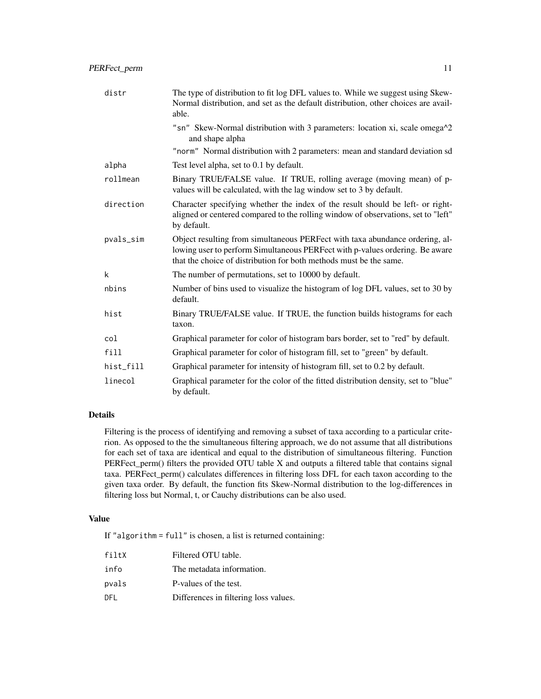| distr     | The type of distribution to fit log DFL values to. While we suggest using Skew-<br>Normal distribution, and set as the default distribution, other choices are avail-<br>able.                                                     |
|-----------|------------------------------------------------------------------------------------------------------------------------------------------------------------------------------------------------------------------------------------|
|           | "sn" Skew-Normal distribution with 3 parameters: location xi, scale omega^2<br>and shape alpha                                                                                                                                     |
|           | "norm" Normal distribution with 2 parameters: mean and standard deviation sd                                                                                                                                                       |
| alpha     | Test level alpha, set to 0.1 by default.                                                                                                                                                                                           |
| rollmean  | Binary TRUE/FALSE value. If TRUE, rolling average (moving mean) of p-<br>values will be calculated, with the lag window set to 3 by default.                                                                                       |
| direction | Character specifying whether the index of the result should be left- or right-<br>aligned or centered compared to the rolling window of observations, set to "left"<br>by default.                                                 |
| pvals_sim | Object resulting from simultaneous PERFect with taxa abundance ordering, al-<br>lowing user to perform Simultaneous PERFect with p-values ordering. Be aware<br>that the choice of distribution for both methods must be the same. |
| k         | The number of permutations, set to 10000 by default.                                                                                                                                                                               |
| nbins     | Number of bins used to visualize the histogram of log DFL values, set to 30 by<br>default.                                                                                                                                         |
| hist      | Binary TRUE/FALSE value. If TRUE, the function builds histograms for each<br>taxon.                                                                                                                                                |
| col       | Graphical parameter for color of histogram bars border, set to "red" by default.                                                                                                                                                   |
| fill      | Graphical parameter for color of histogram fill, set to "green" by default.                                                                                                                                                        |
| hist_fill | Graphical parameter for intensity of histogram fill, set to 0.2 by default.                                                                                                                                                        |
| linecol   | Graphical parameter for the color of the fitted distribution density, set to "blue"<br>by default.                                                                                                                                 |

#### Details

Filtering is the process of identifying and removing a subset of taxa according to a particular criterion. As opposed to the the simultaneous filtering approach, we do not assume that all distributions for each set of taxa are identical and equal to the distribution of simultaneous filtering. Function PERFect\_perm() filters the provided OTU table X and outputs a filtered table that contains signal taxa. PERFect\_perm() calculates differences in filtering loss DFL for each taxon according to the given taxa order. By default, the function fits Skew-Normal distribution to the log-differences in filtering loss but Normal, t, or Cauchy distributions can be also used.

#### Value

If "algorithm = full" is chosen, a list is returned containing:

| filtX | Filtered OTU table.                   |
|-------|---------------------------------------|
| info  | The metadata information.             |
| pvals | P-values of the test.                 |
| DFI   | Differences in filtering loss values. |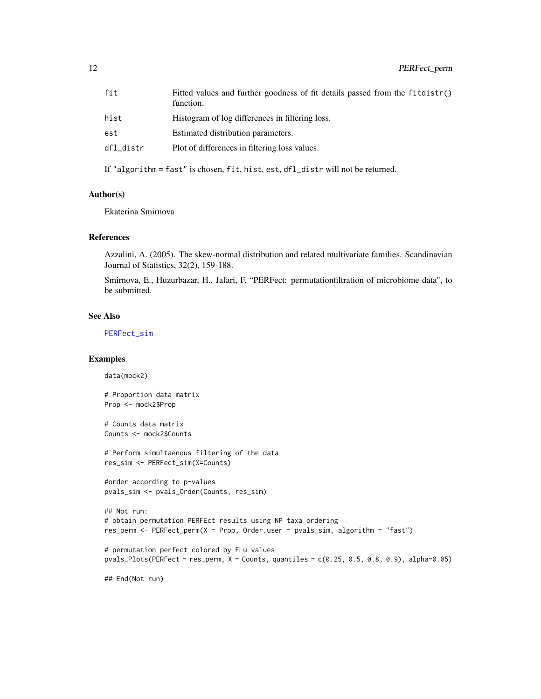<span id="page-11-0"></span>

| fit       | Fitted values and further goodness of fit details passed from the fitdistr()<br>function. |
|-----------|-------------------------------------------------------------------------------------------|
| hist      | Histogram of log differences in filtering loss.                                           |
| est       | Estimated distribution parameters.                                                        |
| dfl_distr | Plot of differences in filtering loss values.                                             |

If "algorithm = fast" is chosen, fit, hist, est, dfl\_distr will not be returned.

#### Author(s)

Ekaterina Smirnova

#### References

Azzalini, A. (2005). The skew-normal distribution and related multivariate families. Scandinavian Journal of Statistics, 32(2), 159-188.

Smirnova, E., Huzurbazar, H., Jafari, F. "PERFect: permutationfiltration of microbiome data", to be submitted.

#### See Also

[PERFect\\_sim](#page-14-1)

#### Examples

data(mock2)

# Proportion data matrix Prop <- mock2\$Prop

# Counts data matrix Counts <- mock2\$Counts

# Perform simultaenous filtering of the data res\_sim <- PERFect\_sim(X=Counts)

```
#order according to p-values
pvals_sim <- pvals_Order(Counts, res_sim)
```

```
## Not run:
# obtain permutation PERFEct results using NP taxa ordering
res_perm <- PERFect_perm(X = Prop, Order.user = pvals_sim, algorithm = "fast")
```

```
# permutation perfect colored by FLu values
pvals_Plots(PERFect = res_perm, X = Counts, quantiles = c(0.25, 0.5, 0.8, 0.9), alpha=0.05)
```
## End(Not run)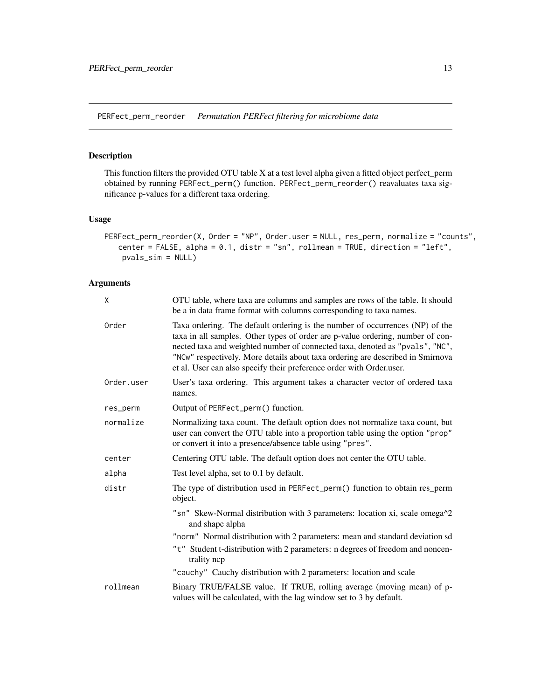<span id="page-12-0"></span>PERFect\_perm\_reorder *Permutation PERFect filtering for microbiome data*

#### Description

This function filters the provided OTU table X at a test level alpha given a fitted object perfect\_perm obtained by running PERFect\_perm() function. PERFect\_perm\_reorder() reavaluates taxa significance p-values for a different taxa ordering.

#### Usage

```
PERFect_perm_reorder(X, Order = "NP", Order.user = NULL, res_perm, normalize = "counts",
   center = FALSE, alpha = 0.1, distr = "sn", rollmean = TRUE, direction = "left",
   pvals_sim = NULL)
```
#### Arguments

| X          | OTU table, where taxa are columns and samples are rows of the table. It should<br>be a in data frame format with columns corresponding to taxa names.                                                                                                                                                                                                                                                    |
|------------|----------------------------------------------------------------------------------------------------------------------------------------------------------------------------------------------------------------------------------------------------------------------------------------------------------------------------------------------------------------------------------------------------------|
| Order      | Taxa ordering. The default ordering is the number of occurrences (NP) of the<br>taxa in all samples. Other types of order are p-value ordering, number of con-<br>nected taxa and weighted number of connected taxa, denoted as "pvals", "NC",<br>"NCw" respectively. More details about taxa ordering are described in Smirnova<br>et al. User can also specify their preference order with Order.user. |
| Order.user | User's taxa ordering. This argument takes a character vector of ordered taxa<br>names.                                                                                                                                                                                                                                                                                                                   |
| res_perm   | Output of PERFect_perm() function.                                                                                                                                                                                                                                                                                                                                                                       |
| normalize  | Normalizing taxa count. The default option does not normalize taxa count, but<br>user can convert the OTU table into a proportion table using the option "prop"<br>or convert it into a presence/absence table using "pres".                                                                                                                                                                             |
| center     | Centering OTU table. The default option does not center the OTU table.                                                                                                                                                                                                                                                                                                                                   |
| alpha      | Test level alpha, set to 0.1 by default.                                                                                                                                                                                                                                                                                                                                                                 |
| distr      | The type of distribution used in PERFect_perm() function to obtain res_perm<br>object.                                                                                                                                                                                                                                                                                                                   |
|            | "sn" Skew-Normal distribution with 3 parameters: location xi, scale omega^2<br>and shape alpha                                                                                                                                                                                                                                                                                                           |
|            | "norm" Normal distribution with 2 parameters: mean and standard deviation sd                                                                                                                                                                                                                                                                                                                             |
|            | "t" Student t-distribution with 2 parameters: n degrees of freedom and noncen-<br>trality nep                                                                                                                                                                                                                                                                                                            |
|            | "cauchy" Cauchy distribution with 2 parameters: location and scale                                                                                                                                                                                                                                                                                                                                       |
| rollmean   | Binary TRUE/FALSE value. If TRUE, rolling average (moving mean) of p-<br>values will be calculated, with the lag window set to 3 by default.                                                                                                                                                                                                                                                             |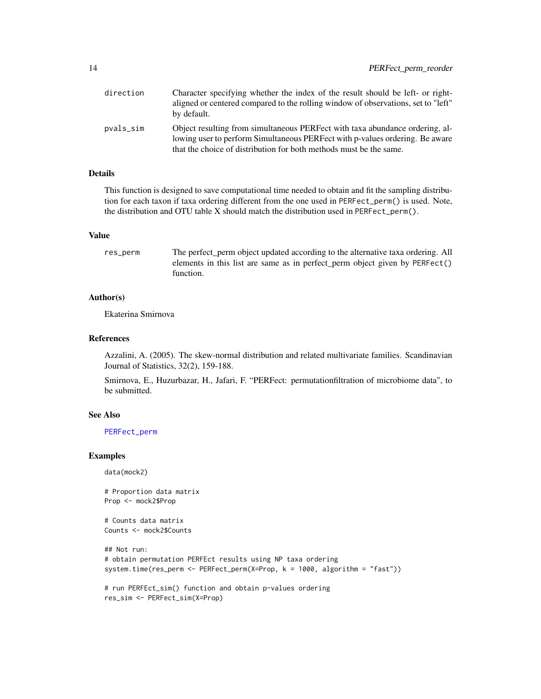<span id="page-13-0"></span>

| direction | Character specifying whether the index of the result should be left- or right-<br>aligned or centered compared to the rolling window of observations, set to "left"<br>by default.                                                 |
|-----------|------------------------------------------------------------------------------------------------------------------------------------------------------------------------------------------------------------------------------------|
| pvals_sim | Object resulting from simultaneous PERFect with taxa abundance ordering, al-<br>lowing user to perform Simultaneous PERFect with p-values ordering. Be aware<br>that the choice of distribution for both methods must be the same. |

#### **Details**

This function is designed to save computational time needed to obtain and fit the sampling distribution for each taxon if taxa ordering different from the one used in PERFect\_perm() is used. Note, the distribution and OTU table X should match the distribution used in PERFect\_perm().

#### Value

res\_perm The perfect\_perm object updated according to the alternative taxa ordering. All elements in this list are same as in perfect\_perm object given by PERFect() function.

#### Author(s)

Ekaterina Smirnova

#### References

Azzalini, A. (2005). The skew-normal distribution and related multivariate families. Scandinavian Journal of Statistics, 32(2), 159-188.

Smirnova, E., Huzurbazar, H., Jafari, F. "PERFect: permutationfiltration of microbiome data", to be submitted.

#### See Also

[PERFect\\_perm](#page-9-1)

#### Examples

data(mock2)

```
# Proportion data matrix
Prop <- mock2$Prop
```
# Counts data matrix Counts <- mock2\$Counts

```
## Not run:
# obtain permutation PERFEct results using NP taxa ordering
system.time(res_perm <- PERFect_perm(X=Prop, k = 1000, algorithm = "fast"))
```
# run PERFEct\_sim() function and obtain p-values ordering res\_sim <- PERFect\_sim(X=Prop)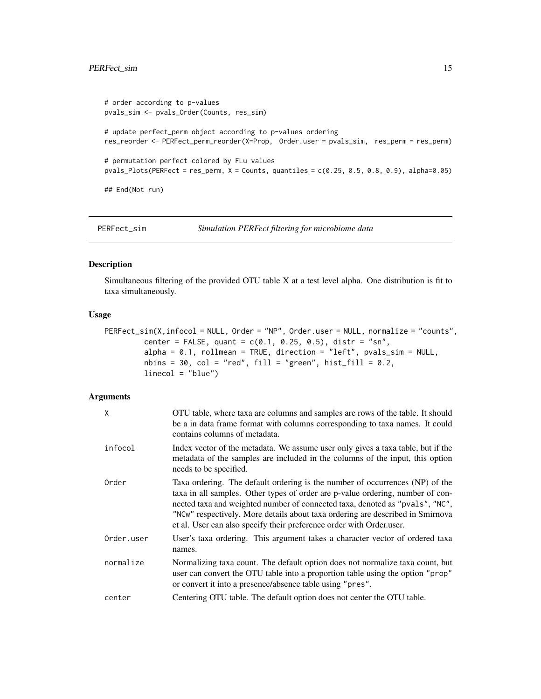#### <span id="page-14-0"></span>PERFect\_sim 15

```
# order according to p-values
pvals_sim <- pvals_Order(Counts, res_sim)
# update perfect_perm object according to p-values ordering
res_reorder <- PERFect_perm_reorder(X=Prop, Order.user = pvals_sim, res_perm = res_perm)
# permutation perfect colored by FLu values
pvals_Plots(PERFect = res_perm, X = Counts, quantiles = c(0.25, 0.5, 0.8, 0.9), alpha=0.05)
## End(Not run)
```
<span id="page-14-1"></span>

PERFect\_sim *Simulation PERFect filtering for microbiome data*

#### Description

Simultaneous filtering of the provided OTU table X at a test level alpha. One distribution is fit to taxa simultaneously.

#### Usage

```
PERFect_sim(X,infocol = NULL, Order = "NP", Order.user = NULL, normalize = "counts",
         center = FALSE, quant = c(0.1, 0.25, 0.5), distr = "sn",
         alpha = 0.1, rollmean = TRUE, direction = "left", pvals_sim = NULL,
         nbins = 30, col = "red", fill = "green", hist_fill = 0.2,linecol = "blue")
```
#### Arguments

| χ          | OTU table, where taxa are columns and samples are rows of the table. It should<br>be a in data frame format with columns corresponding to taxa names. It could<br>contains columns of metadata.                                                                                                                                                                                                          |
|------------|----------------------------------------------------------------------------------------------------------------------------------------------------------------------------------------------------------------------------------------------------------------------------------------------------------------------------------------------------------------------------------------------------------|
| infocol    | Index vector of the metadata. We assume user only gives a taxa table, but if the<br>metadata of the samples are included in the columns of the input, this option<br>needs to be specified.                                                                                                                                                                                                              |
| Order      | Taxa ordering. The default ordering is the number of occurrences (NP) of the<br>taxa in all samples. Other types of order are p-value ordering, number of con-<br>nected taxa and weighted number of connected taxa, denoted as "pvals", "NC",<br>"NCw" respectively. More details about taxa ordering are described in Smirnova<br>et al. User can also specify their preference order with Order.user. |
| Order.user | User's taxa ordering. This argument takes a character vector of ordered taxa<br>names.                                                                                                                                                                                                                                                                                                                   |
| normalize  | Normalizing taxa count. The default option does not normalize taxa count, but<br>user can convert the OTU table into a proportion table using the option "prop"<br>or convert it into a presence/absence table using "pres".                                                                                                                                                                             |
| center     | Centering OTU table. The default option does not center the OTU table.                                                                                                                                                                                                                                                                                                                                   |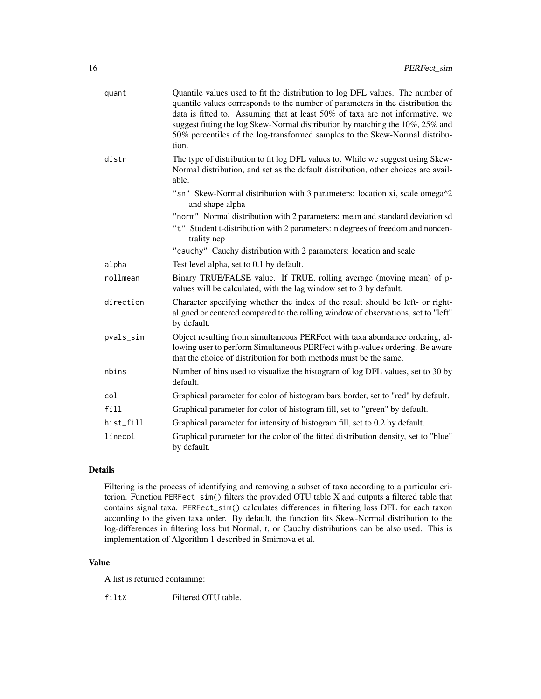| quant     | Quantile values used to fit the distribution to log DFL values. The number of<br>quantile values corresponds to the number of parameters in the distribution the<br>data is fitted to. Assuming that at least 50% of taxa are not informative, we<br>suggest fitting the log Skew-Normal distribution by matching the 10%, 25% and<br>50% percentiles of the log-transformed samples to the Skew-Normal distribu-<br>tion. |
|-----------|----------------------------------------------------------------------------------------------------------------------------------------------------------------------------------------------------------------------------------------------------------------------------------------------------------------------------------------------------------------------------------------------------------------------------|
| distr     | The type of distribution to fit log DFL values to. While we suggest using Skew-<br>Normal distribution, and set as the default distribution, other choices are avail-<br>able.                                                                                                                                                                                                                                             |
|           | "sn" Skew-Normal distribution with 3 parameters: location xi, scale omega^2<br>and shape alpha                                                                                                                                                                                                                                                                                                                             |
|           | "norm" Normal distribution with 2 parameters: mean and standard deviation sd                                                                                                                                                                                                                                                                                                                                               |
|           | "t" Student t-distribution with 2 parameters: n degrees of freedom and noncen-<br>trality ncp                                                                                                                                                                                                                                                                                                                              |
|           | "cauchy" Cauchy distribution with 2 parameters: location and scale                                                                                                                                                                                                                                                                                                                                                         |
| alpha     | Test level alpha, set to 0.1 by default.                                                                                                                                                                                                                                                                                                                                                                                   |
| rollmean  | Binary TRUE/FALSE value. If TRUE, rolling average (moving mean) of p-<br>values will be calculated, with the lag window set to 3 by default.                                                                                                                                                                                                                                                                               |
| direction | Character specifying whether the index of the result should be left- or right-<br>aligned or centered compared to the rolling window of observations, set to "left"<br>by default.                                                                                                                                                                                                                                         |
| pvals_sim | Object resulting from simultaneous PERFect with taxa abundance ordering, al-<br>lowing user to perform Simultaneous PERFect with p-values ordering. Be aware<br>that the choice of distribution for both methods must be the same.                                                                                                                                                                                         |
| nbins     | Number of bins used to visualize the histogram of log DFL values, set to 30 by<br>default.                                                                                                                                                                                                                                                                                                                                 |
| col       | Graphical parameter for color of histogram bars border, set to "red" by default.                                                                                                                                                                                                                                                                                                                                           |
| fill      | Graphical parameter for color of histogram fill, set to "green" by default.                                                                                                                                                                                                                                                                                                                                                |
| hist_fill | Graphical parameter for intensity of histogram fill, set to 0.2 by default.                                                                                                                                                                                                                                                                                                                                                |
| linecol   | Graphical parameter for the color of the fitted distribution density, set to "blue"<br>by default.                                                                                                                                                                                                                                                                                                                         |

#### Details

Filtering is the process of identifying and removing a subset of taxa according to a particular criterion. Function PERFect\_sim() filters the provided OTU table X and outputs a filtered table that contains signal taxa. PERFect\_sim() calculates differences in filtering loss DFL for each taxon according to the given taxa order. By default, the function fits Skew-Normal distribution to the log-differences in filtering loss but Normal, t, or Cauchy distributions can be also used. This is implementation of Algorithm 1 described in Smirnova et al.

#### Value

A list is returned containing:

filtX Filtered OTU table.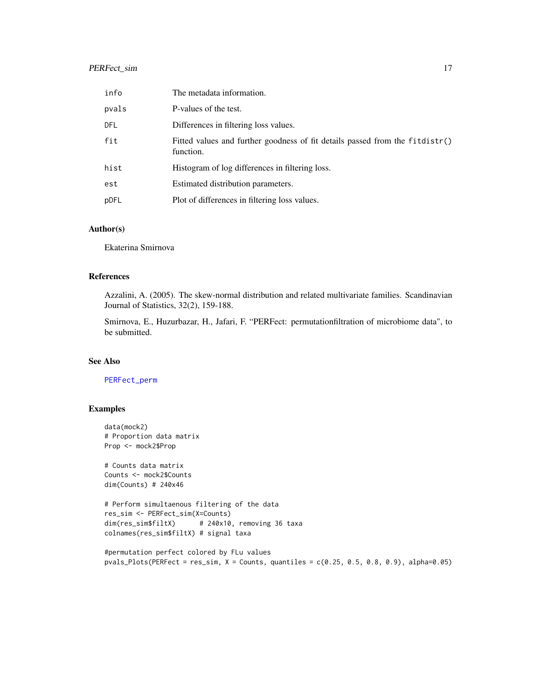#### <span id="page-16-0"></span>PERFect\_sim 17

| info  | The metadata information.                                                                 |
|-------|-------------------------------------------------------------------------------------------|
| pvals | P-values of the test.                                                                     |
| DFL   | Differences in filtering loss values.                                                     |
| fit   | Fitted values and further goodness of fit details passed from the fitdistr()<br>function. |
| hist  | Histogram of log differences in filtering loss.                                           |
| est   | Estimated distribution parameters.                                                        |
| pDFL  | Plot of differences in filtering loss values.                                             |

#### Author(s)

Ekaterina Smirnova

#### References

Azzalini, A. (2005). The skew-normal distribution and related multivariate families. Scandinavian Journal of Statistics, 32(2), 159-188.

Smirnova, E., Huzurbazar, H., Jafari, F. "PERFect: permutationfiltration of microbiome data", to be submitted.

#### See Also

#### [PERFect\\_perm](#page-9-1)

#### Examples

```
data(mock2)
# Proportion data matrix
Prop <- mock2$Prop
# Counts data matrix
Counts <- mock2$Counts
dim(Counts) # 240x46
# Perform simultaenous filtering of the data
res_sim <- PERFect_sim(X=Counts)
dim(res_sim$filtX) # 240x10, removing 36 taxa
colnames(res_sim$filtX) # signal taxa
```

```
#permutation perfect colored by FLu values
pvals_Plots(PERFect = res\_sim, X = Counts, quantiles = c(0.25, 0.5, 0.8, 0.9), alpha=0.05)
```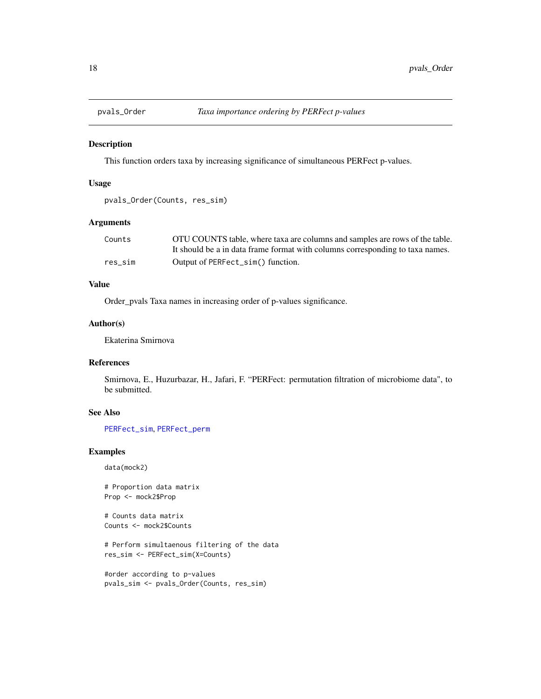<span id="page-17-0"></span>

This function orders taxa by increasing significance of simultaneous PERFect p-values.

#### Usage

```
pvals_Order(Counts, res_sim)
```
#### Arguments

| Counts  | OTU COUNTS table, where taxa are columns and samples are rows of the table.   |
|---------|-------------------------------------------------------------------------------|
|         | It should be a in data frame format with columns corresponding to taxa names. |
| res sim | Output of PERFect_sim() function.                                             |

#### Value

Order\_pvals Taxa names in increasing order of p-values significance.

#### Author(s)

Ekaterina Smirnova

#### References

Smirnova, E., Huzurbazar, H., Jafari, F. "PERFect: permutation filtration of microbiome data", to be submitted.

#### See Also

[PERFect\\_sim](#page-14-1), [PERFect\\_perm](#page-9-1)

#### Examples

data(mock2)

# Proportion data matrix Prop <- mock2\$Prop

# Counts data matrix Counts <- mock2\$Counts

# Perform simultaenous filtering of the data res\_sim <- PERFect\_sim(X=Counts)

```
#order according to p-values
pvals_sim <- pvals_Order(Counts, res_sim)
```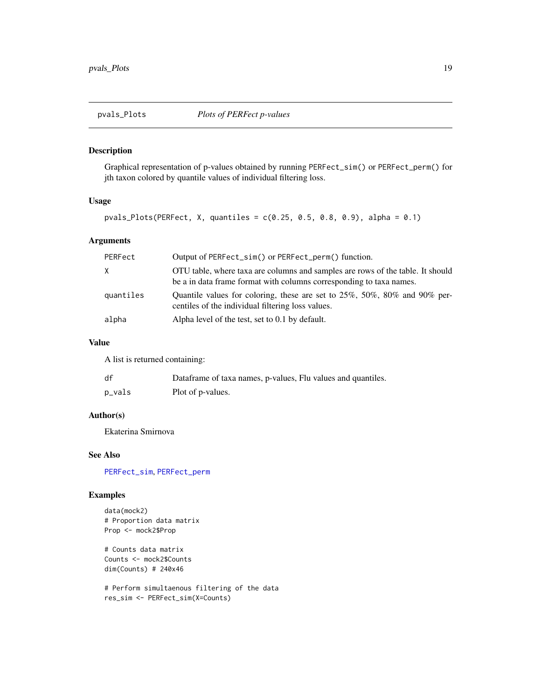<span id="page-18-0"></span>

Graphical representation of p-values obtained by running PERFect\_sim() or PERFect\_perm() for jth taxon colored by quantile values of individual filtering loss.

#### Usage

pvals\_Plots(PERFect, X, quantiles = c(0.25, 0.5, 0.8, 0.9), alpha = 0.1)

#### Arguments

| PERFect   | Output of PERFect_sim() or PERFect_perm() function.                                                                                                   |
|-----------|-------------------------------------------------------------------------------------------------------------------------------------------------------|
| X         | OTU table, where taxa are columns and samples are rows of the table. It should<br>be a in data frame format with columns corresponding to taxa names. |
| quantiles | Quantile values for coloring, these are set to $25\%$ , $50\%$ , $80\%$ and $90\%$ per-<br>centiles of the individual filtering loss values.          |
| alpha     | Alpha level of the test, set to 0.1 by default.                                                                                                       |

#### Value

A list is returned containing:

| df     | Dataframe of taxa names, p-values, Flu values and quantiles. |
|--------|--------------------------------------------------------------|
| p_vals | Plot of p-values.                                            |

#### Author(s)

Ekaterina Smirnova

#### See Also

[PERFect\\_sim](#page-14-1), [PERFect\\_perm](#page-9-1)

#### Examples

data(mock2) # Proportion data matrix Prop <- mock2\$Prop

# Counts data matrix Counts <- mock2\$Counts dim(Counts) # 240x46

# Perform simultaenous filtering of the data res\_sim <- PERFect\_sim(X=Counts)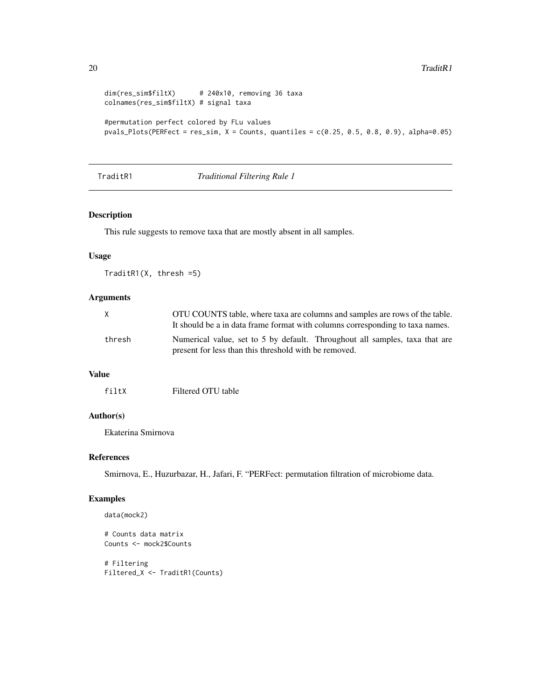```
dim(res_sim$filtX) # 240x10, removing 36 taxa
colnames(res_sim$filtX) # signal taxa
#permutation perfect colored by FLu values
pvals_Plots(PERFect = res_sim, X = Counts, quantiles = c(0.25, 0.5, 0.8, 0.9), alpha=0.05)
```
TraditR1 *Traditional Filtering Rule 1*

#### Description

This rule suggests to remove taxa that are mostly absent in all samples.

#### Usage

TraditR1(X, thresh =5)

#### Arguments

| X      | OTU COUNTS table, where taxa are columns and samples are rows of the table.<br>It should be a in data frame format with columns corresponding to taxa names. |
|--------|--------------------------------------------------------------------------------------------------------------------------------------------------------------|
| thresh | Numerical value, set to 5 by default. Throughout all samples, taxa that are<br>present for less than this threshold with be removed.                         |

#### Value

#### Author(s)

Ekaterina Smirnova

#### References

Smirnova, E., Huzurbazar, H., Jafari, F. "PERFect: permutation filtration of microbiome data.

#### Examples

```
data(mock2)
```

```
# Counts data matrix
Counts <- mock2$Counts
```
# Filtering Filtered\_X <- TraditR1(Counts)

<span id="page-19-0"></span>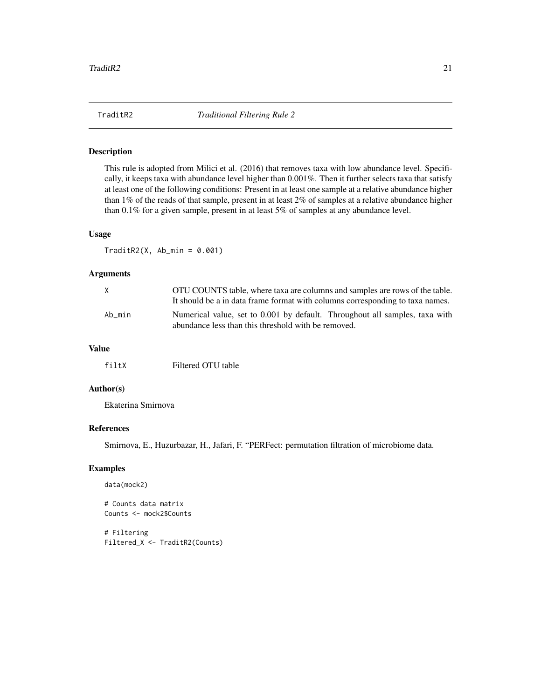<span id="page-20-0"></span>

This rule is adopted from Milici et al. (2016) that removes taxa with low abundance level. Specifically, it keeps taxa with abundance level higher than 0.001%. Then it further selects taxa that satisfy at least one of the following conditions: Present in at least one sample at a relative abundance higher than 1% of the reads of that sample, present in at least 2% of samples at a relative abundance higher than 0.1% for a given sample, present in at least 5% of samples at any abundance level.

#### Usage

 $TraditR2(X, Ab-min = 0.001)$ 

#### Arguments

| X      | OTU COUNTS table, where taxa are columns and samples are rows of the table.<br>It should be a in data frame format with columns corresponding to taxa names. |
|--------|--------------------------------------------------------------------------------------------------------------------------------------------------------------|
| Ab min | Numerical value, set to 0.001 by default. Throughout all samples, taxa with<br>abundance less than this threshold with be removed.                           |

#### Value

#### Author(s)

Ekaterina Smirnova

#### References

Smirnova, E., Huzurbazar, H., Jafari, F. "PERFect: permutation filtration of microbiome data.

#### Examples

```
data(mock2)
```
# Counts data matrix Counts <- mock2\$Counts

# Filtering Filtered\_X <- TraditR2(Counts)